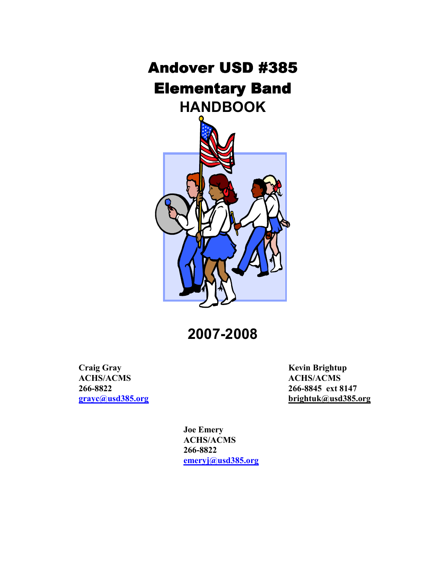# **Andover USD #385 Elementary Band** HANDBOOK



2007-2008

Craig Gray Kevin Brightup<br>
ACHS/ACMS ACHS/ACMS 266-8822 266-8845 ext 8147

ACHS/ACMS grayc@usd385.org brightuk@usd385.org

> Joe Emery ACHS/ACMS 266-8822 emeryj@usd385.org

> > Ξ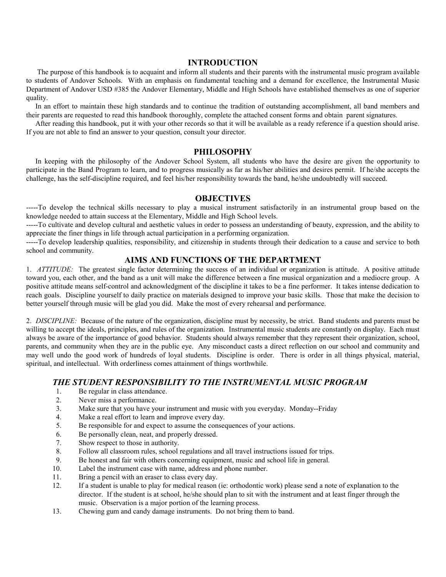#### INTRODUCTION

 The purpose of this handbook is to acquaint and inform all students and their parents with the instrumental music program available to students of Andover Schools. With an emphasis on fundamental teaching and a demand for excellence, the Instrumental Music Department of Andover USD #385 the Andover Elementary, Middle and High Schools have established themselves as one of superior quality.

 In an effort to maintain these high standards and to continue the tradition of outstanding accomplishment, all band members and their parents are requested to read this handbook thoroughly, complete the attached consent forms and obtain parent signatures.

 After reading this handbook, put it with your other records so that it will be available as a ready reference if a question should arise. If you are not able to find an answer to your question, consult your director.

#### PHILOSOPHY

 In keeping with the philosophy of the Andover School System, all students who have the desire are given the opportunity to participate in the Band Program to learn, and to progress musically as far as his/her abilities and desires permit. If he/she accepts the challenge, has the self-discipline required, and feel his/her responsibility towards the band, he/she undoubtedly will succeed.

#### **OBJECTIVES**

-----To develop the technical skills necessary to play a musical instrument satisfactorily in an instrumental group based on the knowledge needed to attain success at the Elementary, Middle and High School levels.

-----To cultivate and develop cultural and aesthetic values in order to possess an understanding of beauty, expression, and the ability to appreciate the finer things in life through actual participation in a performing organization.

-----To develop leadership qualities, responsibility, and citizenship in students through their dedication to a cause and service to both school and community.

#### AIMS AND FUNCTIONS OF THE DEPARTMENT

1. ATTITUDE: The greatest single factor determining the success of an individual or organization is attitude. A positive attitude toward you, each other, and the band as a unit will make the difference between a fine musical organization and a mediocre group. A positive attitude means self-control and acknowledgment of the discipline it takes to be a fine performer. It takes intense dedication to reach goals. Discipline yourself to daily practice on materials designed to improve your basic skills. Those that make the decision to better yourself through music will be glad you did. Make the most of every rehearsal and performance.

2. DISCIPLINE: Because of the nature of the organization, discipline must by necessity, be strict. Band students and parents must be willing to accept the ideals, principles, and rules of the organization. Instrumental music students are constantly on display. Each must always be aware of the importance of good behavior. Students should always remember that they represent their organization, school, parents, and community when they are in the public eye. Any misconduct casts a direct reflection on our school and community and may well undo the good work of hundreds of loyal students. Discipline is order. There is order in all things physical, material, spiritual, and intellectual. With orderliness comes attainment of things worthwhile.

#### THE STUDENT RESPONSIBILITY TO THE INSTRUMENTAL MUSIC PROGRAM

- 1. Be regular in class attendance.
- 2. Never miss a performance.
- 3. Make sure that you have your instrument and music with you everyday. Monday--Friday
- 4. Make a real effort to learn and improve every day.
- 5. Be responsible for and expect to assume the consequences of your actions.
- 6. Be personally clean, neat, and properly dressed.
- 7. Show respect to those in authority.
- 8. Follow all classroom rules, school regulations and all travel instructions issued for trips.
- 9. Be honest and fair with others concerning equipment, music and school life in general.<br>10. Label the instrument case with name, address and phone number.
- Label the instrument case with name, address and phone number.
- 11. Bring a pencil with an eraser to class every day.
- 12. If a student is unable to play for medical reason (ie: orthodontic work) please send a note of explanation to the director. If the student is at school, he/she should plan to sit with the instrument and at least finger through the music. Observation is a major portion of the learning process.
- 13. Chewing gum and candy damage instruments. Do not bring them to band.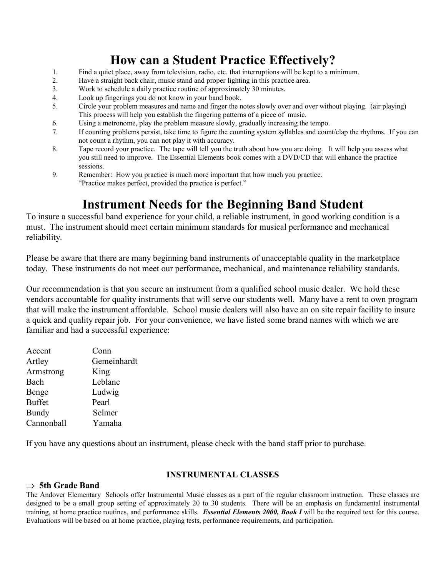# How can a Student Practice Effectively?

- 1. Find a quiet place, away from television, radio, etc. that interruptions will be kept to a minimum.
- 2. Have a straight back chair, music stand and proper lighting in this practice area.
- 3. Work to schedule a daily practice routine of approximately 30 minutes.
- 4. Look up fingerings you do not know in your band book.
- 5. Circle your problem measures and name and finger the notes slowly over and over without playing. (air playing) This process will help you establish the fingering patterns of a piece of music.
- 6. Using a metronome, play the problem measure slowly, gradually increasing the tempo.
- 7. If counting problems persist, take time to figure the counting system syllables and count/clap the rhythms. If you can not count a rhythm, you can not play it with accuracy.
- 8. Tape record your practice. The tape will tell you the truth about how you are doing. It will help you assess what you still need to improve. The Essential Elements book comes with a DVD/CD that will enhance the practice sessions.
- 9. Remember: How you practice is much more important that how much you practice. "Practice makes perfect, provided the practice is perfect."

# Instrument Needs for the Beginning Band Student

To insure a successful band experience for your child, a reliable instrument, in good working condition is a must. The instrument should meet certain minimum standards for musical performance and mechanical reliability.

Please be aware that there are many beginning band instruments of unacceptable quality in the marketplace today. These instruments do not meet our performance, mechanical, and maintenance reliability standards.

Our recommendation is that you secure an instrument from a qualified school music dealer. We hold these vendors accountable for quality instruments that will serve our students well. Many have a rent to own program that will make the instrument affordable. School music dealers will also have an on site repair facility to insure a quick and quality repair job. For your convenience, we have listed some brand names with which we are familiar and had a successful experience:

| Accent        | Conn        |
|---------------|-------------|
| Artley        | Gemeinhardt |
| Armstrong     | King        |
| Bach          | Leblanc     |
| Benge         | Ludwig      |
| <b>Buffet</b> | Pearl       |
| Bundy         | Selmer      |
| Cannonball    | Yamaha      |
|               |             |

If you have any questions about an instrument, please check with the band staff prior to purchase.

#### INSTRUMENTAL CLASSES

### $\Rightarrow$  5th Grade Band

The Andover Elementary Schools offer Instrumental Music classes as a part of the regular classroom instruction. These classes are designed to be a small group setting of approximately 20 to 30 students. There will be an emphasis on fundamental instrumental training, at home practice routines, and performance skills. *Essential Elements 2000, Book I* will be the required text for this course. Evaluations will be based on at home practice, playing tests, performance requirements, and participation.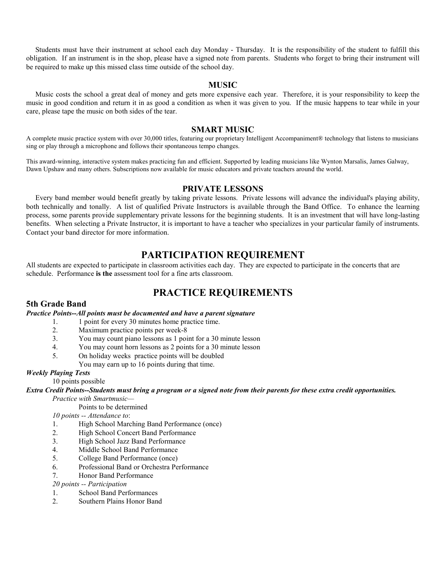Students must have their instrument at school each day Monday - Thursday. It is the responsibility of the student to fulfill this obligation. If an instrument is in the shop, please have a signed note from parents. Students who forget to bring their instrument will be required to make up this missed class time outside of the school day.

#### MUSIC

 Music costs the school a great deal of money and gets more expensive each year. Therefore, it is your responsibility to keep the music in good condition and return it in as good a condition as when it was given to you. If the music happens to tear while in your care, please tape the music on both sides of the tear.

#### SMART MUSIC

A complete music practice system with over 30,000 titles, featuring our proprietary Intelligent Accompaniment® technology that listens to musicians sing or play through a microphone and follows their spontaneous tempo changes.

This award-winning, interactive system makes practicing fun and efficient. Supported by leading musicians like Wynton Marsalis, James Galway, Dawn Upshaw and many others. Subscriptions now available for music educators and private teachers around the world.

#### PRIVATE LESSONS

 Every band member would benefit greatly by taking private lessons. Private lessons will advance the individual's playing ability, both technically and tonally. A list of qualified Private Instructors is available through the Band Office. To enhance the learning process, some parents provide supplementary private lessons for the beginning students. It is an investment that will have long-lasting benefits. When selecting a Private Instructor, it is important to have a teacher who specializes in your particular family of instruments. Contact your band director for more information.

### PARTICIPATION REQUIREMENT

All students are expected to participate in classroom activities each day. They are expected to participate in the concerts that are schedule. Performance is the assessment tool for a fine arts classroom.

### PRACTICE REQUIREMENTS

#### 5th Grade Band

#### Practice Points--All points must be documented and have a parent signature

- 1. 1 point for every 30 minutes home practice time.
- 2. Maximum practice points per week-8
- 3. You may count piano lessons as 1 point for a 30 minute lesson<br>4. You may count horn lessons as 2 points for a 30 minute lesson
- 4. You may count horn lessons as 2 points for a 30 minute lesson
- 5. On holiday weeks practice points will be doubled
	- You may earn up to 16 points during that time.

#### Weekly Playing Tests

10 points possible

Extra Credit Points--Students must bring a program or a signed note from their parents for these extra credit opportunities.

Practice with Smartmusic—

Points to be determined

10 points -- Attendance to:

- 1. High School Marching Band Performance (once)
- 2. High School Concert Band Performance
- 3. High School Jazz Band Performance
- 4. Middle School Band Performance
- 5. College Band Performance (once)
- 6. Professional Band or Orchestra Performance
- 7. Honor Band Performance

20 points -- Participation

- 1. School Band Performances
- 2. Southern Plains Honor Band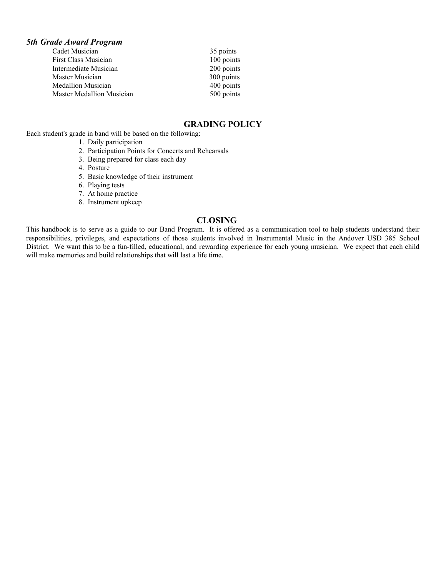#### 5th Grade Award Program

| Cadet Musician            | 35 points  |
|---------------------------|------------|
| First Class Musician      | 100 points |
| Intermediate Musician     | 200 points |
| Master Musician           | 300 points |
| <b>Medallion Musician</b> | 400 points |
| Master Medallion Musician | 500 points |

#### GRADING POLICY

Each student's grade in band will be based on the following:

- 1. Daily participation
- 2. Participation Points for Concerts and Rehearsals
- 3. Being prepared for class each day
- 4. Posture
- 5. Basic knowledge of their instrument
- 6. Playing tests
- 7. At home practice
- 8. Instrument upkeep

#### CLOSING

This handbook is to serve as a guide to our Band Program. It is offered as a communication tool to help students understand their responsibilities, privileges, and expectations of those students involved in Instrumental Music in the Andover USD 385 School District. We want this to be a fun-filled, educational, and rewarding experience for each young musician. We expect that each child will make memories and build relationships that will last a life time.